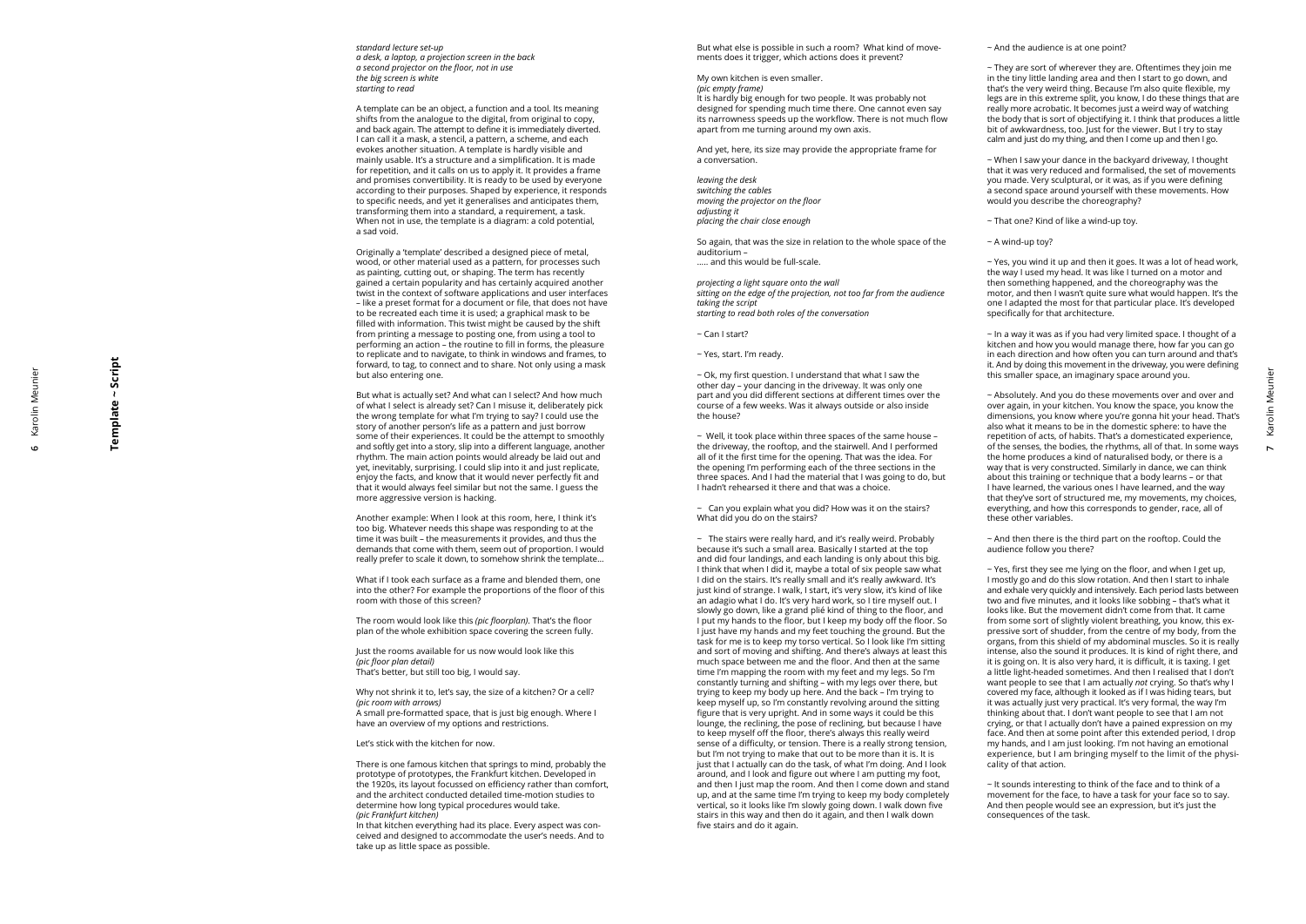*standard lecture set-up a desk, a laptop, a projection screen in the back a second projector on the foor, not in use the big screen is white starting to read*

A template can be an object, a function and a tool. Its meaning shifts from the analogue to the digital, from original to copy, and back again. The attempt to defne it is immediately diverted. I can call it a mask, a stencil, a pattern, a scheme, and each evokes another situation. A template is hardly visible and mainly usable. It's a structure and a simplifcation. It is made for repetition, and it calls on us to apply it. It provides a frame and promises convertibility. It is ready to be used by everyone according to their purposes. Shaped by experience, it responds to specific needs, and yet it generalises and anticipates them, transforming them into a standard, a requirement, a task. When not in use, the template is a diagram: a cold potential, a sad void.

Originally a 'template' described a designed piece of metal, wood, or other material used as a pattern, for processes such as painting, cutting out, or shaping. The term has recently gained a certain popularity and has certainly acquired another twist in the context of software applications and user interfaces – like a preset format for a document or fle, that does not have to be recreated each time it is used; a graphical mask to be flled with information. This twist might be caused by the shift from printing a message to posting one, from using a tool to performing an action – the routine to fll in forms, the pleasure to replicate and to navigate, to think in windows and frames, to forward, to tag, to connect and to share. Not only using a mask but also entering one.

But what is actually set? And what can I select? And how much of what I select is already set? Can I misuse it, deliberately pick the wrong template for what I'm trying to say? I could use the story of another person's life as a pattern and just borrow some of their experiences. It could be the attempt to smoothly and softly get into a story, slip into a diferent language, another rhythm. The main action points would already be laid out and yet, inevitably, surprising. I could slip into it and just replicate, enjoy the facts, and know that it would never perfectly fit and that it would always feel similar but not the same. I guess the more aggressive version is hacking.

 $\sim$  Ok, my first question. I understand that what I saw the other day – your dancing in the driveway. It was only one part and you did diferent sections at diferent times over the course of a few weeks. Was it always outside or also inside the house?

Another example: When I look at this room, here, I think it's too big. Whatever needs this shape was responding to at the time it was built – the measurements it provides, and thus the demands that come with them, seem out of proportion. I would really prefer to scale it down, to somehow shrink the template...

 $\sim$  Well, it took place within three spaces of the same house – the driveway, the rooftop, and the stairwell. And I performed all of it the frst time for the opening. That was the idea. For the opening I'm performing each of the three sections in the three spaces. And I had the material that I was going to do, but I hadn't rehearsed it there and that was a choice.

 $\sim$  Can you explain what you did? How was it on the stairs? What did you do on the stairs?

 $\sim$  The stairs were really hard, and it's really weird. Probably because it's such a small area. Basically I started at the top and did four landings, and each landing is only about this big. I think that when I did it, maybe a total of six people saw what I did on the stairs. It's really small and it's really awkward. It's just kind of strange. I walk, I start, it's very slow, it's kind of like an adagio what I do. It's very hard work, so I tire myself out. I slowly go down, like a grand plié kind of thing to the floor, and I put my hands to the floor, but I keep my body off the floor. So I just have my hands and my feet touching the ground. But the task for me is to keep my torso vertical. So I look like I'm sitting and sort of moving and shifting. And there's always at least this much space between me and the foor. And then at the same time I'm mapping the room with my feet and my legs. So I'm constantly turning and shifting – with my legs over there, but trying to keep my body up here. And the back – I'm trying to keep myself up, so I'm constantly revolving around the sitting fgure that is very upright. And in some ways it could be this lounge, the reclining, the pose of reclining, but because I have to keep myself off the floor, there's always this really weird sense of a difficulty, or tension. There is a really strong tension, but I'm not trying to make that out to be more than it is. It is just that I actually can do the task, of what I'm doing. And I look around, and I look and fgure out where I am putting my foot, and then I just map the room. And then I come down and stand up, and at the same time I'm trying to keep my body completely vertical, so it looks like I'm slowly going down. I walk down five stairs in this way and then do it again, and then I walk down five stairs and do it again.

What if I took each surface as a frame and blended them, one into the other? For example the proportions of the floor of this room with those of this screen?

The room would look like this *(pic foorplan)*. That's the foor plan of the whole exhibition space covering the screen fully.

Just the rooms available for us now would look like this *(pic foor plan detail)*  That's better, but still too big, I would say.

Why not shrink it to, let's say, the size of a kitchen? Or a cell? *(pic room with arrows)* 

A small pre-formatted space, that is just big enough. Where I have an overview of my options and restrictions.

Let's stick with the kitchen for now.

There is one famous kitchen that springs to mind, probably the prototype of prototypes, the Frankfurt kitchen. Developed in the 1920s, its layout focussed on efficiency rather than comfort, and the architect conducted detailed time-motion studies to determine how long typical procedures would take. *(pic Frankfurt kitchen)*

In that kitchen everything had its place. Every aspect was con ceived and designed to accommodate the user's needs. And to take up as little space as possible.

Script **Template ~ Script**  $\mathbf{r}$ **Template** 

 $\sim$  They are sort of wherever they are. Oftentimes they join me in the tiny little landing area and then I start to go down, and that's the very weird thing. Because I'm also quite fexible, my legs are in this extreme split, you know, I do these things that are really more acrobatic. It becomes just a weird way of watching the body that is sort of objectifying it. I think that produces a little bit of awkwardness, too. Just for the viewer. But I try to stay calm and just do my thing, and then I come up and then I go.

My own kitchen is even smaller.

*(pic empty frame)* 

It is hardly big enough for two people. It was probably not designed for spending much time there. One cannot even say its narrowness speeds up the workflow. There is not much flow apart from me turning around my own axis.

And yet, here, its size may provide the appropriate frame for a conversation.

*leaving the desk switching the cables moving the projector on the foor adjusting it placing the chair close enough*

> $\sim$  In a way it was as if you had very limited space. I thought of a kitchen and how you would manage there, how far you can go in each direction and how often you can turn around and that's it. And by doing this movement in the driveway, you were defining this smaller space, an imaginary space around you.

So again, that was the size in relation to the whole space of the auditorium –

..... and this would be full-scale.

*projecting a light square onto the wall sitting on the edge of the projection, not too far from the audience taking the script starting to read both roles of the conversation*

~ Can I start?

~ Yes, start. I'm ready.

 $\sim$  And then there is the third part on the rooftop. Could the audience follow you there?

 $\sim$  Yes, first they see me lying on the floor, and when I get up, I mostly go and do this slow rotation. And then I start to inhale and exhale very quickly and intensively. Each period lasts between two and five minutes, and it looks like sobbing - that's what it looks like. But the movement didn't come from that. It came from some sort of slightly violent breathing, you know, this ex pressive sort of shudder, from the centre of my body, from the organs, from this shield of my abdominal muscles. So it is really intense, also the sound it produces. It is kind of right there, and it is going on. It is also very hard, it is difficult, it is taxing. I get a little light-headed sometimes. And then I realised that I don't want people to see that I am actually *not* crying. So that's why I covered my face, although it looked as if I was hiding tears, but it was actually just very practical. It's very formal, the way I'm thinking about that. I don't want people to see that I am not crying, or that I actually don't have a pained expression on my face. And then at some point after this extended period, I drop my hands, and I am just looking. I'm not having an emotional experience, but I am bringing myself to the limit of the physi cality of that action.

~ And the audience is at one point?

~ When I saw your dance in the backyard driveway, I thought that it was very reduced and formalised, the set of movements you made. Very sculptural, or it was, as if you were defning a second space around yourself with these movements. How would you describe the choreography?

~ That one? Kind of like a wind-up toy.

 $\sim$  A wind-up toy?

 $\sim$  Yes, you wind it up and then it goes. It was a lot of head work, the way I used my head. It was like I turned on a motor and then something happened, and the choreography was the motor, and then I wasn't quite sure what would happen. It's the one I adapted the most for that particular place. It's developed specifically for that architecture.

~ Absolutely. And you do these movements over and over and over again, in your kitchen. You know the space, you know the dimensions, you know where you're gonna hit your head. That's also what it means to be in the domestic sphere: to have the repetition of acts, of habits. That's a domesticated experience, of the senses, the bodies, the rhythms, all of that. In some ways the home produces a kind of naturalised body, or there is a way that is very constructed. Similarly in dance, we can think about this training or technique that a body learns – or that I have learned, the various ones I have learned, and the way that they've sort of structured me, my movements, my choices, everything, and how this corresponds to gender, race, all of these other variables.

~ It sounds interesting to think of the face and to think of a movement for the face, to have a task for your face so to say. And then people would see an expression, but it's just the consequences of the task.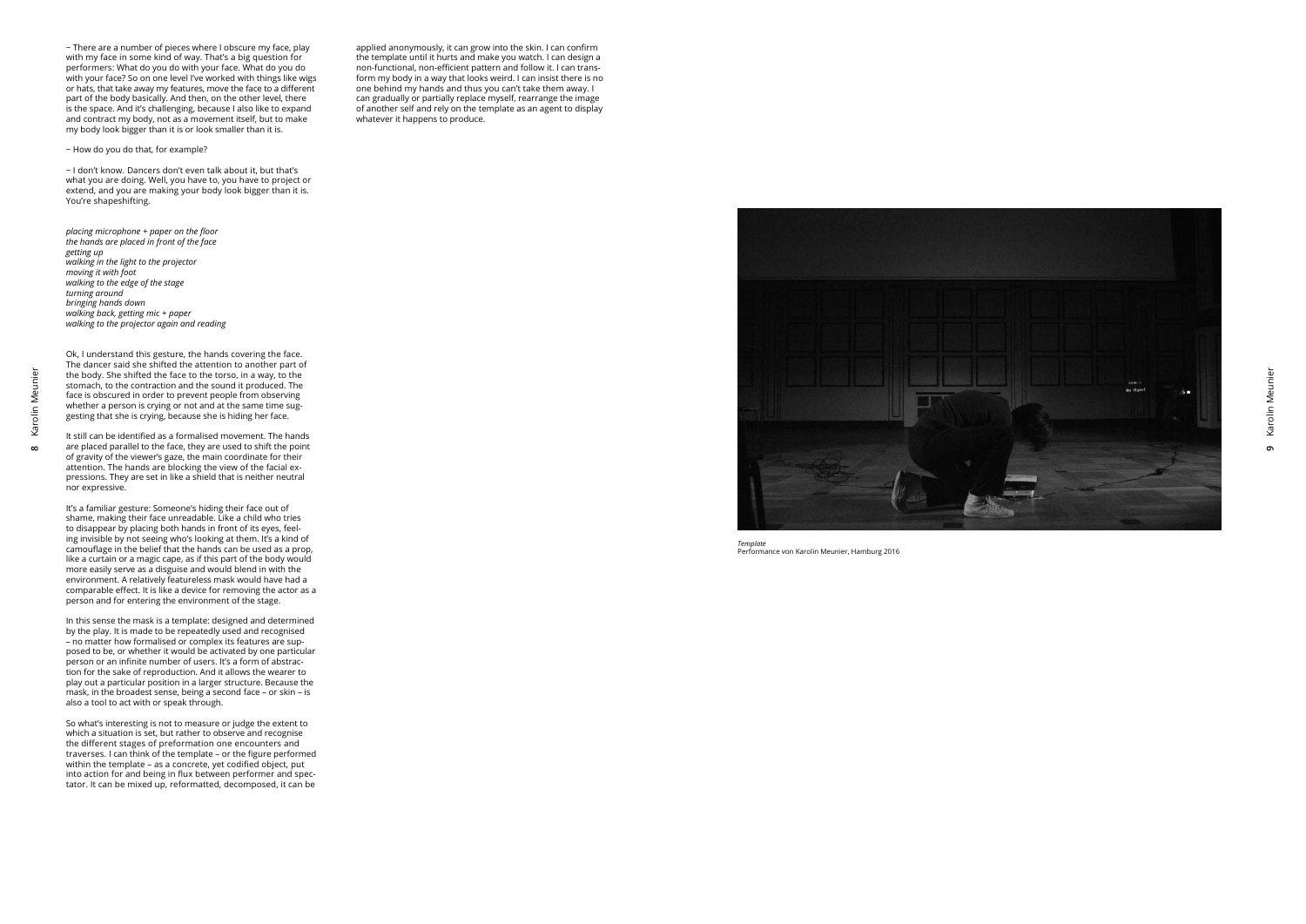~ There are a number of pieces where I obscure my face, play with my face in some kind of way. That's a big question for performers: What do you do with your face. What do you do with your face? So on one level I've worked with things like wigs or hats, that take away my features, move the face to a diferent part of the body basically. And then, on the other level, there is the space. And it's challenging, because I also like to expand and contract my body, not as a movement itself, but to make my body look bigger than it is or look smaller than it is.

~ How do you do that, for example?

~ I don't know. Dancers don't even talk about it, but that's what you are doing. Well, you have to, you have to project or extend, and you are making your body look bigger than it is. You're shapeshifting.

*placing microphone + paper on the foor the hands are placed in front of the face getting up walking in the light to the projector moving it with foot walking to the edge of the stage turning around bringing hands down walking back, getting mic + paper walking to the projector again and reading*

Ok, I understand this gesture, the hands covering the face. The dancer said she shifted the attention to another part of the body. She shifted the face to the torso, in a way, to the stomach, to the contraction and the sound it produced. The face is obscured in order to prevent people from observing whether a person is crying or not and at the same time sug gesting that she is crying, because she is hiding her face.

It still can be identifed as a formalised movement. The hands are placed parallel to the face, they are used to shift the point of gravity of the viewer's gaze, the main coordinate for their attention. The hands are blocking the view of the facial ex pressions. They are set in like a shield that is neither neutral nor expressive.



It's a familiar gesture: Someone's hiding their face out of shame, making their face unreadable. Like a child who tries to disappear by placing both hands in front of its eyes, feel ing invisible by not seeing who's looking at them. It's a kind of camoufage in the belief that the hands can be used as a prop, like a curtain or a magic cape, as if this part of the body would more easily serve as a disguise and would blend in with the environment. A relatively featureless mask would have had a comparable efect. It is like a device for removing the actor as a person and for entering the environment of the stage.

In this sense the mask is a template: designed and determined by the play. It is made to be repeatedly used and recognised – no matter how formalised or complex its features are sup posed to be, or whether it would be activated by one particular person or an infnite number of users. It's a form of abstrac tion for the sake of reproduction. And it allows the wearer to play out a particular position in a larger structure. Because the mask, in the broadest sense, being a second face – or skin – is also a tool to act with or speak through.

So what's interesting is not to measure or judge the extent to which a situation is set, but rather to observe and recognise the diferent stages of preformation one encounters and traverses. I can think of the template – or the fgure performed within the template – as a concrete, yet codified object, put into action for and being in fux between performer and spec tator. It can be mixed up, reformatted, decomposed, it can be

applied anonymously, it can grow into the skin. I can confrm the template until it hurts and make you watch. I can design a non-functional, non-efficient pattern and follow it. I can transform my body in a way that looks weird. I can insist there is no one behind my hands and thus you can't take them away. I can gradually or partially replace myself, rearrange the image of another self and rely on the template as an agent to display whatever it happens to produce.

## *Template*

Performance von Karolin Meunier, Hamburg 2016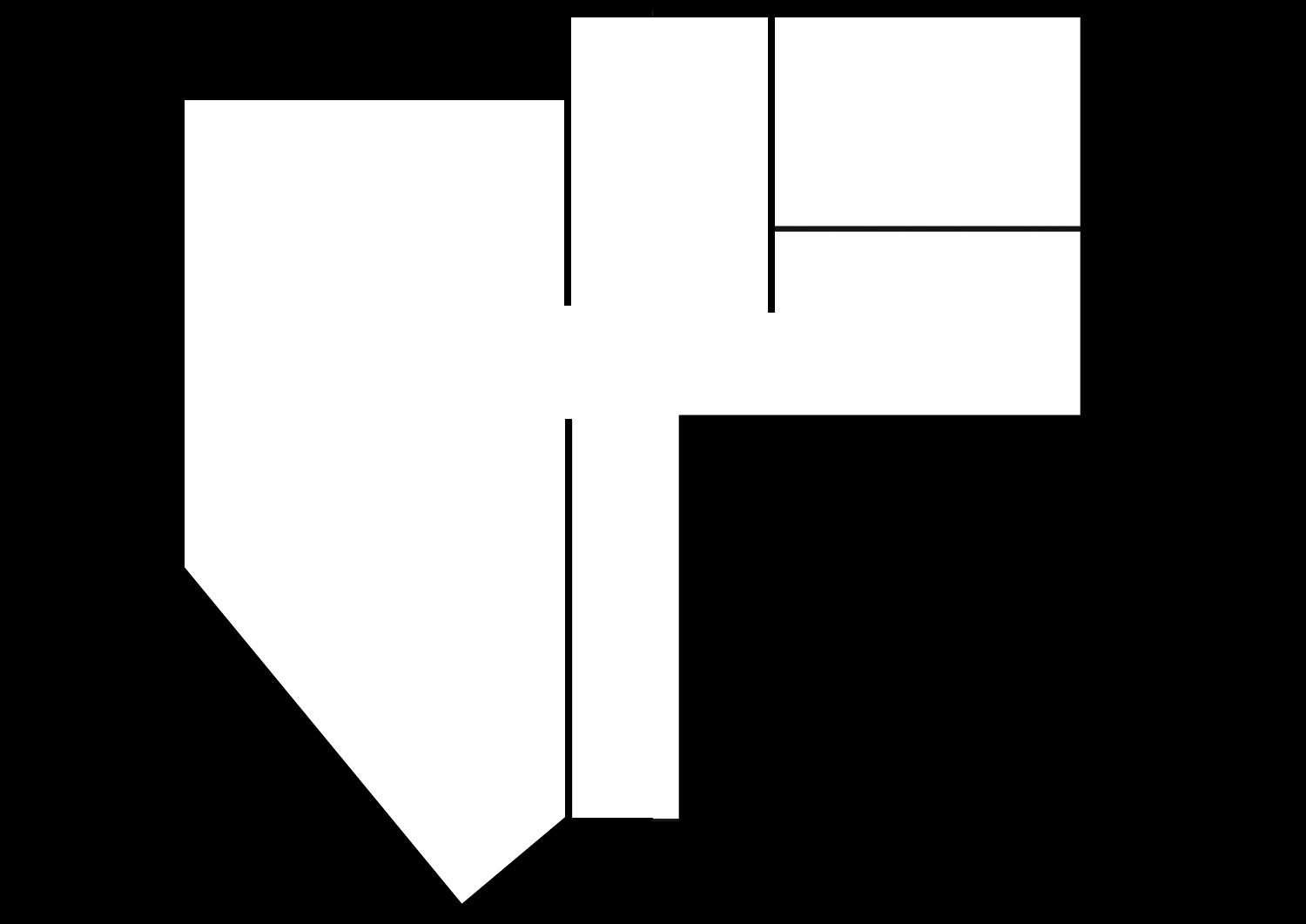

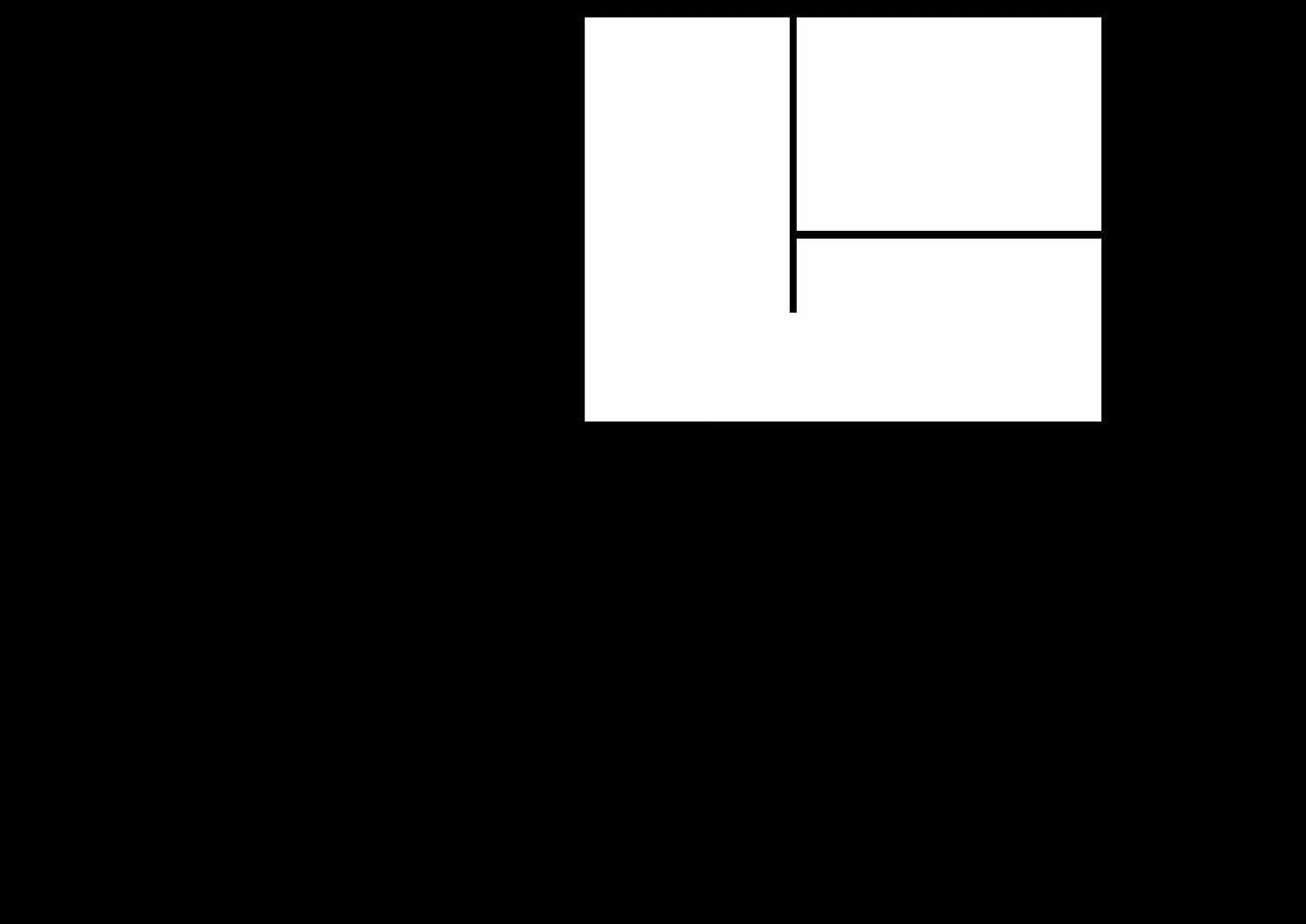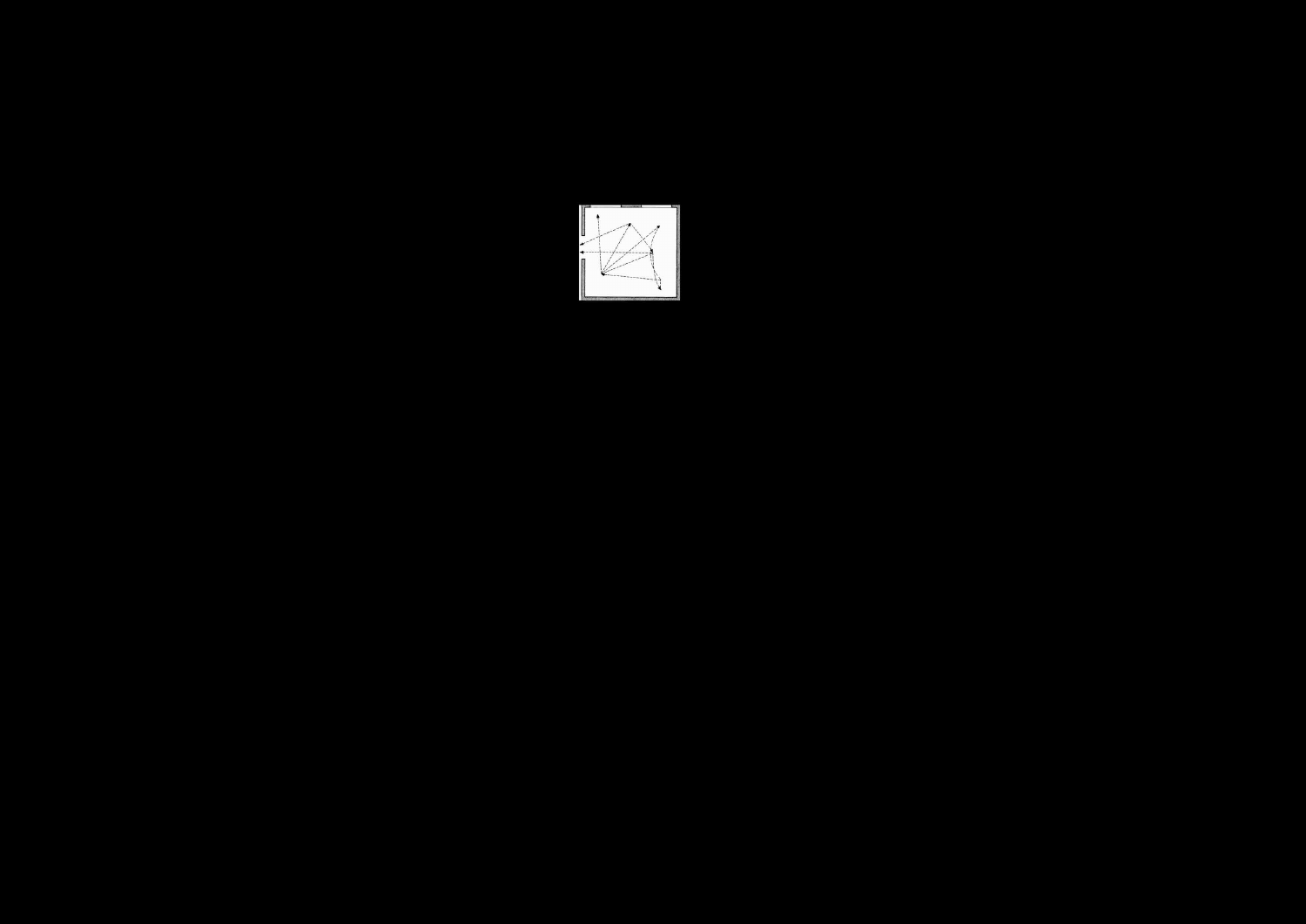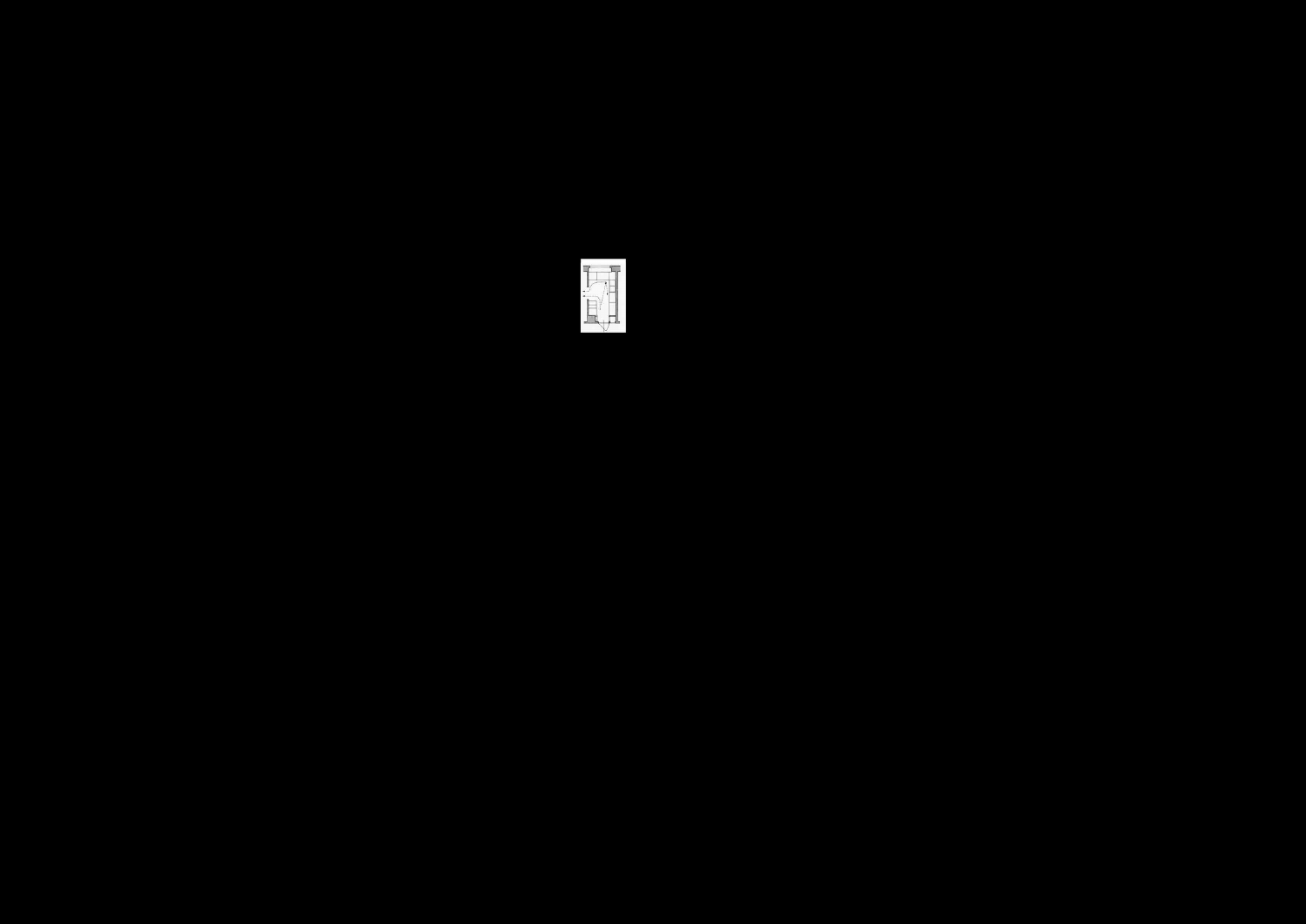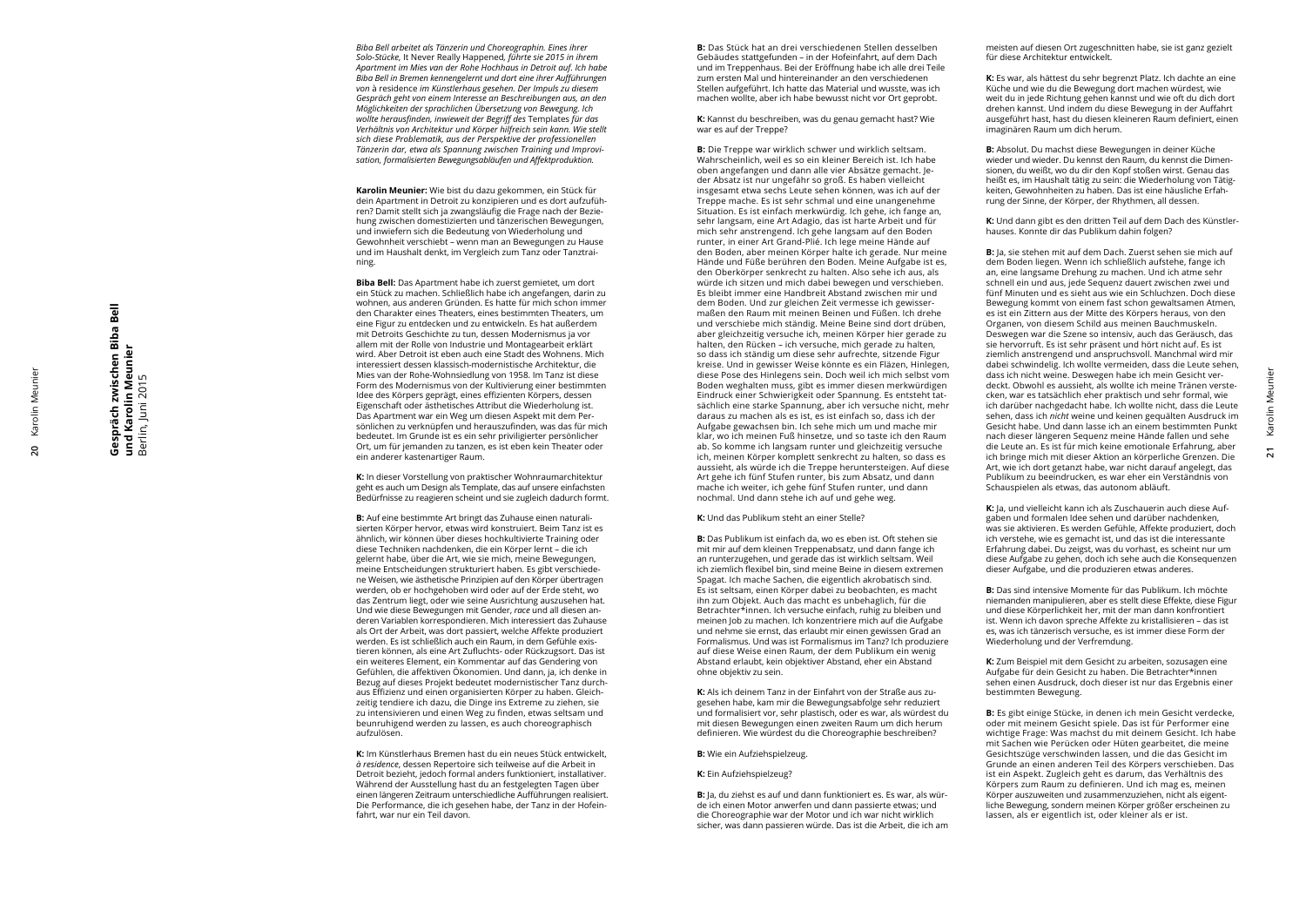*Biba Bell arbeitet als Tänzerin und Choreographin. Eines ihrer Solo-Stücke,* It Never Really Happened*, führte sie 2015 in ihrem Apartment im Mies van der Rohe Hochhaus in Detroit auf. Ich habe Biba Bell in Bremen kennengelernt und dort eine ihrer Auführungen von* à residence *im Künstlerhaus gesehen. Der Impuls zu diesem Gespräch geht von einem Interesse an Beschreibungen aus, an den Möglichkeiten der sprachlichen Übersetzung von Bewegung. Ich wollte herausfnden, inwieweit der Begrif des* Templates *für das Verhältnis von Architektur und Körper hilfreich sein kann. Wie stellt sich diese Problematik, aus der Perspektive der professionellen Tänzerin dar, etwa als Spannung zwischen Training und Improvi sation, formalisierten Bewegungsabläufen und Afektproduktion.*

**Karolin Meunier:** Wie bist du dazu gekommen, ein Stück für dein Apartment in Detroit zu konzipieren und es dort aufzufüh ren? Damit stellt sich ja zwangsläufig die Frage nach der Beziehung zwischen domestizierten und tänzerischen Bewegungen, und inwiefern sich die Bedeutung von Wiederholung und Gewohnheit verschiebt – wenn man an Bewegungen zu Hause und im Haushalt denkt, im Vergleich zum Tanz oder Tanztrai ning.

**Biba Bell:** Das Apartment habe ich zuerst gemietet, um dort ein Stück zu machen. Schließlich habe ich angefangen, darin zu wohnen, aus anderen Gründen. Es hatte für mich schon immer den Charakter eines Theaters, eines bestimmten Theaters, um eine Figur zu entdecken und zu entwickeln. Es hat außerdem mit Detroits Geschichte zu tun, dessen Modernismus ja vor allem mit der Rolle von Industrie und Montagearbeit erklärt wird. Aber Detroit ist eben auch eine Stadt des Wohnens. Mich interessiert dessen klassisch-modernistische Architektur, die Mies van der Rohe-Wohnsiedlung von 1958. Im Tanz ist diese Form des Modernismus von der Kultivierung einer bestimmten Idee des Körpers geprägt, eines effizienten Körpers, dessen Eigenschaft oder ästhetisches Attribut die Wiederholung ist. Das Apartment war ein Weg um diesen Aspekt mit dem Per sönlichen zu verknüpfen und herauszufnden, was das für mich bedeutet. Im Grunde ist es ein sehr priviligierter persönlicher Ort, um für jemanden zu tanzen, es ist eben kein Theater oder ein anderer kastenartiger Raum.

**K:** In dieser Vorstellung von praktischer Wohnraumarchitektur geht es auch um Design als Template, das auf unsere einfachsten Bedürfnisse zu reagieren scheint und sie zugleich dadurch formt.

**B:** Auf eine bestimmte Art bringt das Zuhause einen naturali sierten Körper hervor, etwas wird konstruiert. Beim Tanz ist es ähnlich, wir können über dieses hochkultivierte Training oder diese Techniken nachdenken, die ein Körper lernt – die ich gelernt habe, über die Art, wie sie mich, meine Bewegungen, meine Entscheidungen strukturiert haben. Es gibt verschiede ne Weisen, wie ästhetische Prinzipien auf den Körper übertragen werden, ob er hochgehoben wird oder auf der Erde steht, wo das Zentrum liegt, oder wie seine Ausrichtung auszusehen hat. Und wie diese Bewegungen mit Gender, *race* und all diesen an deren Variablen korrespondieren. Mich interessiert das Zuhause als Ort der Arbeit, was dort passiert, welche Afekte produziert werden. Es ist schließlich auch ein Raum, in dem Gefühle exis tieren können, als eine Art Zufuchts- oder Rückzugsort. Das ist ein weiteres Element, ein Kommentar auf das Gendering von Gefühlen, die afektiven Ökonomien. Und dann, ja, ich denke in Bezug auf dieses Projekt bedeutet modernistischer Tanz durch aus Effizienz und einen organisierten Körper zu haben. Gleichzeitig tendiere ich dazu, die Dinge ins Extreme zu ziehen, sie zu intensivieren und einen Weg zu finden, etwas seltsam und beunruhigend werden zu lassen, es auch choreographisch aufzulösen.

**B:** Das Publikum ist einfach da, wo es eben ist. Oft stehen sie mit mir auf dem kleinen Treppenabsatz, und dann fange ich an runterzugehen, und gerade das ist wirklich seltsam. Weil ich ziemlich fexibel bin, sind meine Beine in diesem extremen Spagat. Ich mache Sachen, die eigentlich akrobatisch sind. Es ist seltsam, einen Körper dabei zu beobachten, es macht ihn zum Objekt. Auch das macht es unbehaglich, für die Betrachter\*innen. Ich versuche einfach, ruhig zu bleiben und meinen Job zu machen. Ich konzentriere mich auf die Aufgabe und nehme sie ernst, das erlaubt mir einen gewissen Grad an Formalismus. Und was ist Formalismus im Tanz? Ich produziere auf diese Weise einen Raum, der dem Publikum ein wenig Abstand erlaubt, kein objektiver Abstand, eher ein Abstand ohne objektiv zu sein.

**K:** Im Künstlerhaus Bremen hast du ein neues Stück entwickelt, *à residence*, dessen Repertoire sich teilweise auf die Arbeit in Detroit bezieht, jedoch formal anders funktioniert, installativer. Während der Ausstellung hast du an festgelegten Tagen über einen längeren Zeitraum unterschiedliche Auführungen realisiert. Die Performance, die ich gesehen habe, der Tanz in der Hofein fahrt, war nur ein Teil davon.

**Gespräch zwischen Biba Bell**  Bell **Gespräch zwischen Biba B<br>und Karolin Meunier**<br>Berlin, Juni 2015 **und Karolin Meunier** Berlin, Juni 2015

**B:** Das Stück hat an drei verschiedenen Stellen desselben Gebäudes stattgefunden – in der Hofeinfahrt, auf dem Dach und im Treppenhaus. Bei der Eröfnung habe ich alle drei Teile zum ersten Mal und hintereinander an den verschiedenen Stellen aufgeführt. Ich hatte das Material und wusste, was ich machen wollte, aber ich habe bewusst nicht vor Ort geprobt.

> **B:** Absolut. Du machst diese Bewegungen in deiner Küche wieder und wieder. Du kennst den Raum, du kennst die Dimen sionen, du weißt, wo du dir den Kopf stoßen wirst. Genau das heißt es, im Haushalt tätig zu sein: die Wiederholung von Tätig keiten, Gewohnheiten zu haben. Das ist eine häusliche Erfah rung der Sinne, der Körper, der Rhythmen, all dessen.

**K:** Kannst du beschreiben, was du genau gemacht hast? Wie war es auf der Treppe?

**B:** Die Treppe war wirklich schwer und wirklich seltsam. Wahrscheinlich, weil es so ein kleiner Bereich ist. Ich habe oben angefangen und dann alle vier Absätze gemacht. Je der Absatz ist nur ungefähr so groß. Es haben vielleicht insgesamt etwa sechs Leute sehen können, was ich auf der Treppe mache. Es ist sehr schmal und eine unangenehme Situation. Es ist einfach merkwürdig. Ich gehe, ich fange an, sehr langsam, eine Art Adagio, das ist harte Arbeit und für mich sehr anstrengend. Ich gehe langsam auf den Boden runter, in einer Art Grand-Plié. Ich lege meine Hände auf den Boden, aber meinen Körper halte ich gerade. Nur meine Hände und Füße berühren den Boden. Meine Aufgabe ist es, den Oberkörper senkrecht zu halten. Also sehe ich aus, als würde ich sitzen und mich dabei bewegen und verschieben. Es bleibt immer eine Handbreit Abstand zwischen mir und dem Boden. Und zur gleichen Zeit vermesse ich gewisser maßen den Raum mit meinen Beinen und Füßen. Ich drehe und verschiebe mich ständig. Meine Beine sind dort drüben, aber gleichzeitig versuche ich, meinen Körper hier gerade zu halten, den Rücken – ich versuche, mich gerade zu halten, so dass ich ständig um diese sehr aufrechte, sitzende Figur kreise. Und in gewisser Weise könnte es ein Fläzen, Hinlegen, diese Pose des Hinlegens sein. Doch weil ich mich selbst vom Boden weghalten muss, gibt es immer diesen merkwürdigen Eindruck einer Schwierigkeit oder Spannung. Es entsteht tat sächlich eine starke Spannung, aber ich versuche nicht, mehr daraus zu machen als es ist, es ist einfach so, dass ich der Aufgabe gewachsen bin. Ich sehe mich um und mache mir klar, wo ich meinen Fuß hinsetze, und so taste ich den Raum ab. So komme ich langsam runter und gleichzeitig versuche ich, meinen Körper komplett senkrecht zu halten, so dass es aussieht, als würde ich die Treppe heruntersteigen. Auf diese Art gehe ich fünf Stufen runter, bis zum Absatz, und dann mache ich weiter, ich gehe fünf Stufen runter, und dann nochmal. Und dann stehe ich auf und gehe weg.

**K:** Und das Publikum steht an einer Stelle?

**K:** Als ich deinem Tanz in der Einfahrt von der Straße aus zu gesehen habe, kam mir die Bewegungsabfolge sehr reduziert und formalisiert vor, sehr plastisch, oder es war, als würdest du mit diesen Bewegungen einen zweiten Raum um dich herum defnieren. Wie würdest du die Choreographie beschreiben?

**B:** Wie ein Aufziehspielzeug.

**K:** Ein Aufziehspielzeug?

**B:** Ja, du ziehst es auf und dann funktioniert es. Es war, als wür de ich einen Motor anwerfen und dann passierte etwas; und die Choreographie war der Motor und ich war nicht wirklich sicher, was dann passieren würde. Das ist die Arbeit, die ich am meisten auf diesen Ort zugeschnitten habe, sie ist ganz gezielt für diese Architektur entwickelt.

**K:** Es war, als hättest du sehr begrenzt Platz. Ich dachte an eine Küche und wie du die Bewegung dort machen würdest, wie weit du in jede Richtung gehen kannst und wie oft du dich dort drehen kannst. Und indem du diese Bewegung in der Aufahrt ausgeführt hast, hast du diesen kleineren Raum defniert, einen imaginären Raum um dich herum.

**K:** Und dann gibt es den dritten Teil auf dem Dach des Künstler hauses. Konnte dir das Publikum dahin folgen?

**B:** Ja, sie stehen mit auf dem Dach. Zuerst sehen sie mich auf dem Boden liegen. Wenn ich schließlich aufstehe, fange ich an, eine langsame Drehung zu machen. Und ich atme sehr schnell ein und aus, jede Sequenz dauert zwischen zwei und fünf Minuten und es sieht aus wie ein Schluchzen. Doch diese Bewegung kommt von einem fast schon gewaltsamen Atmen, es ist ein Zittern aus der Mitte des Körpers heraus, von den Organen, von diesem Schild aus meinen Bauchmuskeln. Deswegen war die Szene so intensiv, auch das Geräusch, das sie hervorruft. Es ist sehr präsent und hört nicht auf. Es ist ziemlich anstrengend und anspruchsvoll. Manchmal wird mir dabei schwindelig. Ich wollte vermeiden, dass die Leute sehen, dass ich nicht weine. Deswegen habe ich mein Gesicht ver deckt. Obwohl es aussieht, als wollte ich meine Tränen verste cken, war es tatsächlich eher praktisch und sehr formal, wie ich darüber nachgedacht habe. Ich wollte nicht, dass die Leute sehen, dass ich *nicht* weine und keinen gequälten Ausdruck im Gesicht habe. Und dann lasse ich an einem bestimmten Punkt nach dieser längeren Sequenz meine Hände fallen und sehe die Leute an. Es ist für mich keine emotionale Erfahrung, aber ich bringe mich mit dieser Aktion an körperliche Grenzen. Die Art, wie ich dort getanzt habe, war nicht darauf angelegt, das Publikum zu beeindrucken, es war eher ein Verständnis von Schauspielen als etwas, das autonom abläuft.

**K:** Ja, und vielleicht kann ich als Zuschauerin auch diese Auf gaben und formalen Idee sehen und darüber nachdenken, was sie aktivieren. Es werden Gefühle, Afekte produziert, doch ich verstehe, wie es gemacht ist, und das ist die interessante Erfahrung dabei. Du zeigst, was du vorhast, es scheint nur um diese Aufgabe zu gehen, doch ich sehe auch die Konsequenzen dieser Aufgabe, und die produzieren etwas anderes.

**B:** Das sind intensive Momente für das Publikum. Ich möchte niemanden manipulieren, aber es stellt diese Efekte, diese Figur und diese Körperlichkeit her, mit der man dann konfrontiert ist. Wenn ich davon spreche Afekte zu kristallisieren – das ist es, was ich tänzerisch versuche, es ist immer diese Form der Wiederholung und der Verfremdung.

**K:** Zum Beispiel mit dem Gesicht zu arbeiten, sozusagen eine Aufgabe für dein Gesicht zu haben. Die Betrachter\*innen sehen einen Ausdruck, doch dieser ist nur das Ergebnis einer bestimmten Bewegung.

**B:** Es gibt einige Stücke, in denen ich mein Gesicht verdecke, oder mit meinem Gesicht spiele. Das ist für Performer eine wichtige Frage: Was machst du mit deinem Gesicht. Ich habe mit Sachen wie Perücken oder Hüten gearbeitet, die meine Gesichtszüge verschwinden lassen, und die das Gesicht im Grunde an einen anderen Teil des Körpers verschieben. Das ist ein Aspekt. Zugleich geht es darum, das Verhältnis des Körpers zum Raum zu defnieren. Und ich mag es, meinen Körper auszuweiten und zusammenzuziehen, nicht als eigent liche Bewegung, sondern meinen Körper größer erscheinen zu lassen, als er eigentlich ist, oder kleiner als er ist.